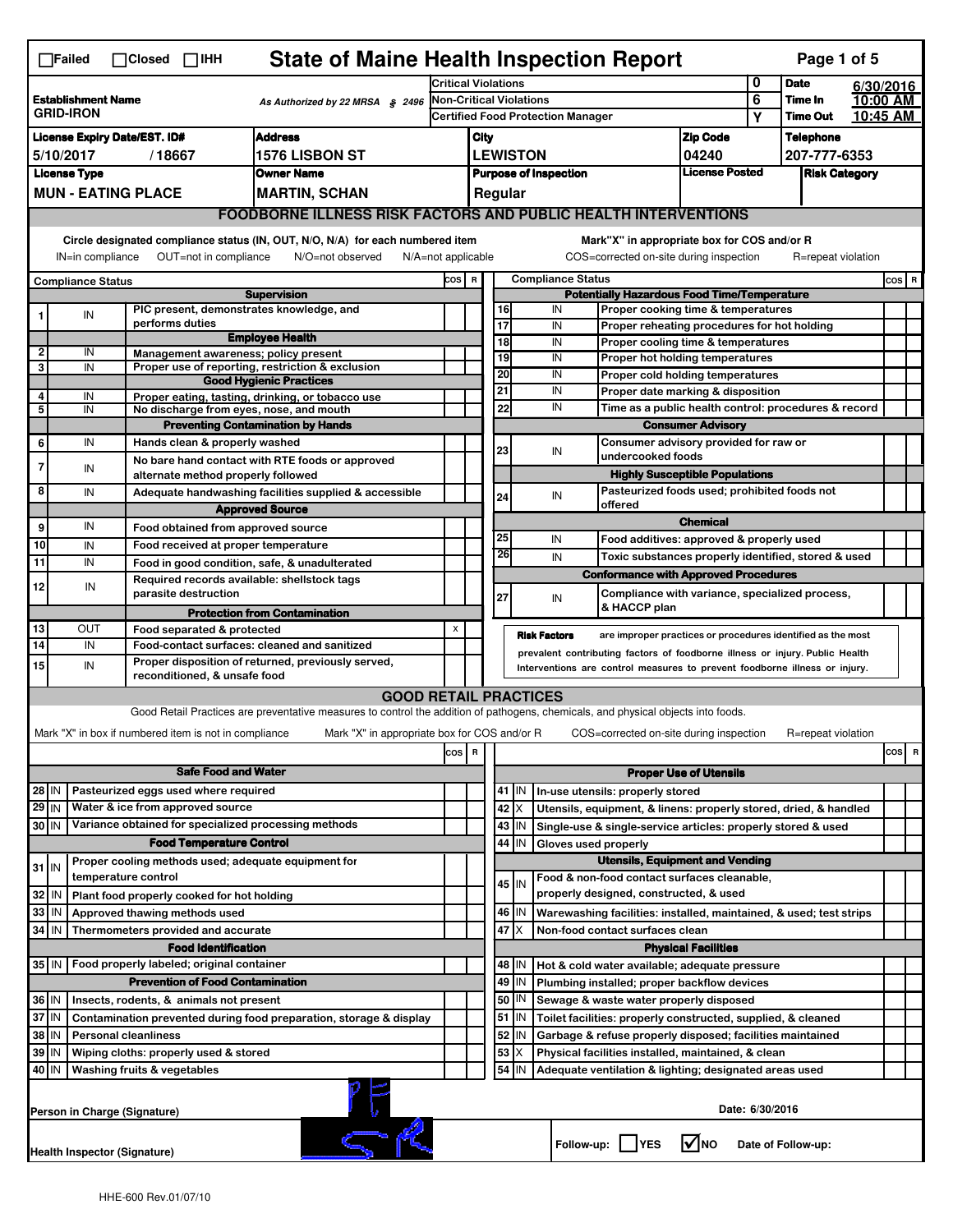|                                                                                                                               | <b>State of Maine Health Inspection Report</b><br>Page 1 of 5<br>$\Box$ Failed<br>$\Box$ Closed $\Box$ iHH |  |                                                                            |                                                                                                                                   |       |                                                                                                   |                                                        |                                                                               |                                                              |                                                                                                                                                            |                                                                                  |  |                    |  |         |  |
|-------------------------------------------------------------------------------------------------------------------------------|------------------------------------------------------------------------------------------------------------|--|----------------------------------------------------------------------------|-----------------------------------------------------------------------------------------------------------------------------------|-------|---------------------------------------------------------------------------------------------------|--------------------------------------------------------|-------------------------------------------------------------------------------|--------------------------------------------------------------|------------------------------------------------------------------------------------------------------------------------------------------------------------|----------------------------------------------------------------------------------|--|--------------------|--|---------|--|
| <b>Establishment Name</b><br>As Authorized by 22 MRSA § 2496<br><b>GRID-IRON</b>                                              |                                                                                                            |  | <b>Critical Violations</b>                                                 |                                                                                                                                   |       |                                                                                                   | 0                                                      | <b>Date</b>                                                                   |                                                              | 6/30/2016                                                                                                                                                  |                                                                                  |  |                    |  |         |  |
|                                                                                                                               |                                                                                                            |  | Non-Critical Violations<br><b>Certified Food Protection Manager</b>        |                                                                                                                                   |       |                                                                                                   |                                                        | 6<br>Y                                                                        | Time In<br><b>Time Out</b>                                   | 10:45 AM                                                                                                                                                   | 10:00 AM                                                                         |  |                    |  |         |  |
| <b>License Expiry Date/EST. ID#</b><br><b>Address</b>                                                                         |                                                                                                            |  |                                                                            |                                                                                                                                   |       | <b>Zip Code</b>                                                                                   |                                                        | <b>Telephone</b>                                                              |                                                              |                                                                                                                                                            |                                                                                  |  |                    |  |         |  |
| <b>1576 LISBON ST</b><br>5/10/2017<br>/18667                                                                                  |                                                                                                            |  |                                                                            | City<br><b>LEWISTON</b>                                                                                                           |       |                                                                                                   |                                                        | 04240                                                                         |                                                              | 207-777-6353                                                                                                                                               |                                                                                  |  |                    |  |         |  |
| <b>License Type</b><br>Owner Name                                                                                             |                                                                                                            |  |                                                                            |                                                                                                                                   |       |                                                                                                   | <b>Purpose of Inspection</b>                           |                                                                               | <b>License Posted</b>                                        |                                                                                                                                                            | <b>Risk Category</b>                                                             |  |                    |  |         |  |
|                                                                                                                               | <b>MUN - EATING PLACE</b>                                                                                  |  |                                                                            | <b>MARTIN, SCHAN</b>                                                                                                              |       |                                                                                                   |                                                        | Regular                                                                       |                                                              |                                                                                                                                                            |                                                                                  |  |                    |  |         |  |
|                                                                                                                               |                                                                                                            |  |                                                                            | <b>FOODBORNE ILLNESS RISK FACTORS AND PUBLIC HEALTH INTERVENTIONS</b>                                                             |       |                                                                                                   |                                                        |                                                                               |                                                              |                                                                                                                                                            |                                                                                  |  |                    |  |         |  |
| Circle designated compliance status (IN, OUT, N/O, N/A) for each numbered item<br>Mark"X" in appropriate box for COS and/or R |                                                                                                            |  |                                                                            |                                                                                                                                   |       |                                                                                                   |                                                        |                                                                               |                                                              |                                                                                                                                                            |                                                                                  |  |                    |  |         |  |
|                                                                                                                               | IN=in compliance                                                                                           |  | OUT=not in compliance                                                      | N/O=not observed<br>$N/A = not$ applicable                                                                                        |       |                                                                                                   |                                                        |                                                                               |                                                              | COS=corrected on-site during inspection                                                                                                                    |                                                                                  |  | R=repeat violation |  |         |  |
|                                                                                                                               | <b>Compliance Status</b>                                                                                   |  |                                                                            |                                                                                                                                   | COS R |                                                                                                   |                                                        | <b>Compliance Status</b>                                                      |                                                              |                                                                                                                                                            |                                                                                  |  |                    |  | cos   R |  |
|                                                                                                                               |                                                                                                            |  | PIC present, demonstrates knowledge, and                                   | <b>Supervision</b>                                                                                                                |       |                                                                                                   |                                                        | 16                                                                            | IN                                                           | <b>Potentially Hazardous Food Time/Temperature</b>                                                                                                         | Proper cooking time & temperatures                                               |  |                    |  |         |  |
| 1                                                                                                                             | IN                                                                                                         |  | performs duties                                                            |                                                                                                                                   |       |                                                                                                   |                                                        | 17                                                                            | IN                                                           |                                                                                                                                                            | Proper reheating procedures for hot holding                                      |  |                    |  |         |  |
| $\overline{2}$                                                                                                                | IN                                                                                                         |  |                                                                            | <b>Employee Health</b>                                                                                                            |       |                                                                                                   |                                                        | 18                                                                            | IN                                                           |                                                                                                                                                            | Proper cooling time & temperatures                                               |  |                    |  |         |  |
| 3                                                                                                                             | IN                                                                                                         |  | Management awareness; policy present                                       | Proper use of reporting, restriction & exclusion                                                                                  |       |                                                                                                   |                                                        | 19                                                                            | IN                                                           |                                                                                                                                                            | <b>Proper hot holding temperatures</b>                                           |  |                    |  |         |  |
|                                                                                                                               |                                                                                                            |  |                                                                            | <b>Good Hygienic Practices</b>                                                                                                    |       |                                                                                                   |                                                        | 20<br>21                                                                      | IN<br>IN                                                     |                                                                                                                                                            | Proper cold holding temperatures<br>Proper date marking & disposition            |  |                    |  |         |  |
| 4<br>$\overline{\mathbf{5}}$                                                                                                  | IN<br>IN                                                                                                   |  | No discharge from eyes, nose, and mouth                                    | Proper eating, tasting, drinking, or tobacco use                                                                                  |       |                                                                                                   |                                                        | 22                                                                            | IN                                                           |                                                                                                                                                            |                                                                                  |  |                    |  |         |  |
|                                                                                                                               |                                                                                                            |  |                                                                            | <b>Preventing Contamination by Hands</b>                                                                                          |       |                                                                                                   |                                                        |                                                                               |                                                              |                                                                                                                                                            | Time as a public health control: procedures & record<br><b>Consumer Advisory</b> |  |                    |  |         |  |
| 6                                                                                                                             | IN                                                                                                         |  | Hands clean & properly washed                                              |                                                                                                                                   |       |                                                                                                   |                                                        | 23                                                                            | IN                                                           |                                                                                                                                                            | Consumer advisory provided for raw or                                            |  |                    |  |         |  |
| $\overline{7}$                                                                                                                | IN                                                                                                         |  |                                                                            | No bare hand contact with RTE foods or approved                                                                                   |       |                                                                                                   |                                                        |                                                                               |                                                              | undercooked foods                                                                                                                                          |                                                                                  |  |                    |  |         |  |
|                                                                                                                               |                                                                                                            |  | alternate method properly followed                                         |                                                                                                                                   |       |                                                                                                   |                                                        |                                                                               |                                                              |                                                                                                                                                            | <b>Highly Susceptible Populations</b>                                            |  |                    |  |         |  |
| 8                                                                                                                             | IN                                                                                                         |  |                                                                            | Adequate handwashing facilities supplied & accessible<br><b>Approved Source</b>                                                   |       |                                                                                                   |                                                        | 24                                                                            | IN                                                           | offered                                                                                                                                                    | Pasteurized foods used; prohibited foods not                                     |  |                    |  |         |  |
| 9                                                                                                                             | IN                                                                                                         |  | Food obtained from approved source                                         |                                                                                                                                   |       |                                                                                                   |                                                        |                                                                               |                                                              |                                                                                                                                                            | <b>Chemical</b>                                                                  |  |                    |  |         |  |
| 10                                                                                                                            | IN                                                                                                         |  | Food received at proper temperature                                        |                                                                                                                                   |       |                                                                                                   |                                                        | 25                                                                            | IN                                                           |                                                                                                                                                            | Food additives: approved & properly used                                         |  |                    |  |         |  |
| 11                                                                                                                            | IN                                                                                                         |  | Food in good condition, safe, & unadulterated                              |                                                                                                                                   |       |                                                                                                   |                                                        | 26                                                                            | IN                                                           |                                                                                                                                                            | Toxic substances properly identified, stored & used                              |  |                    |  |         |  |
| 12                                                                                                                            | IN                                                                                                         |  | Required records available: shellstock tags                                |                                                                                                                                   |       |                                                                                                   |                                                        |                                                                               |                                                              | <b>Conformance with Approved Procedures</b>                                                                                                                |                                                                                  |  |                    |  |         |  |
|                                                                                                                               |                                                                                                            |  | parasite destruction                                                       |                                                                                                                                   |       |                                                                                                   |                                                        | 27                                                                            | IN                                                           | & HACCP plan                                                                                                                                               | Compliance with variance, specialized process,                                   |  |                    |  |         |  |
|                                                                                                                               |                                                                                                            |  |                                                                            | <b>Protection from Contamination</b>                                                                                              |       |                                                                                                   |                                                        |                                                                               |                                                              |                                                                                                                                                            |                                                                                  |  |                    |  |         |  |
| 13<br>14                                                                                                                      | OUT<br>IN                                                                                                  |  | Food separated & protected<br>Food-contact surfaces: cleaned and sanitized |                                                                                                                                   | X     |                                                                                                   |                                                        |                                                                               | <b>Risk Factors</b>                                          |                                                                                                                                                            | are improper practices or procedures identified as the most                      |  |                    |  |         |  |
| Proper disposition of returned, previously served,<br>15<br>IN                                                                |                                                                                                            |  |                                                                            |                                                                                                                                   |       |                                                                                                   |                                                        |                                                                               |                                                              | prevalent contributing factors of foodborne illness or injury. Public Health<br>Interventions are control measures to prevent foodborne illness or injury. |                                                                                  |  |                    |  |         |  |
|                                                                                                                               |                                                                                                            |  | reconditioned, & unsafe food                                               |                                                                                                                                   |       |                                                                                                   |                                                        |                                                                               |                                                              |                                                                                                                                                            |                                                                                  |  |                    |  |         |  |
|                                                                                                                               |                                                                                                            |  |                                                                            | <b>GOOD RETAIL PRACTICES</b>                                                                                                      |       |                                                                                                   |                                                        |                                                                               |                                                              |                                                                                                                                                            |                                                                                  |  |                    |  |         |  |
|                                                                                                                               |                                                                                                            |  |                                                                            | Good Retail Practices are preventative measures to control the addition of pathogens, chemicals, and physical objects into foods. |       |                                                                                                   |                                                        |                                                                               |                                                              |                                                                                                                                                            |                                                                                  |  |                    |  |         |  |
|                                                                                                                               |                                                                                                            |  | Mark "X" in box if numbered item is not in compliance                      | Mark "X" in appropriate box for COS and/or R                                                                                      |       |                                                                                                   |                                                        |                                                                               |                                                              | COS=corrected on-site during inspection                                                                                                                    |                                                                                  |  | R=repeat violation |  | cosl    |  |
|                                                                                                                               |                                                                                                            |  | <b>Safe Food and Water</b>                                                 |                                                                                                                                   | cos R |                                                                                                   |                                                        |                                                                               |                                                              |                                                                                                                                                            |                                                                                  |  |                    |  | R       |  |
| 28 IN                                                                                                                         |                                                                                                            |  | Pasteurized eggs used where required                                       |                                                                                                                                   |       |                                                                                                   |                                                        | <b>Proper Use of Utensils</b><br>41<br>IN<br>In-use utensils: properly stored |                                                              |                                                                                                                                                            |                                                                                  |  |                    |  |         |  |
| $29$ IN                                                                                                                       |                                                                                                            |  | Water & ice from approved source                                           |                                                                                                                                   |       |                                                                                                   |                                                        | 42<br>X.                                                                      |                                                              | Utensils, equipment, & linens: properly stored, dried, & handled                                                                                           |                                                                                  |  |                    |  |         |  |
| 30 IN                                                                                                                         |                                                                                                            |  | Variance obtained for specialized processing methods                       |                                                                                                                                   |       |                                                                                                   |                                                        | 43 <br>IN                                                                     |                                                              | Single-use & single-service articles: properly stored & used                                                                                               |                                                                                  |  |                    |  |         |  |
|                                                                                                                               |                                                                                                            |  | <b>Food Temperature Control</b>                                            |                                                                                                                                   |       |                                                                                                   |                                                        | 44<br>IN                                                                      |                                                              | Gloves used properly                                                                                                                                       |                                                                                  |  |                    |  |         |  |
| $31$ IN                                                                                                                       |                                                                                                            |  | Proper cooling methods used; adequate equipment for                        |                                                                                                                                   |       |                                                                                                   |                                                        |                                                                               |                                                              |                                                                                                                                                            | <b>Utensils, Equipment and Vending</b>                                           |  |                    |  |         |  |
|                                                                                                                               |                                                                                                            |  | temperature control                                                        |                                                                                                                                   |       |                                                                                                   |                                                        | 45   IN                                                                       |                                                              | Food & non-food contact surfaces cleanable,                                                                                                                |                                                                                  |  |                    |  |         |  |
| 32                                                                                                                            |                                                                                                            |  | Plant food properly cooked for hot holding                                 |                                                                                                                                   |       |                                                                                                   |                                                        |                                                                               |                                                              | properly designed, constructed, & used                                                                                                                     |                                                                                  |  |                    |  |         |  |
| 33                                                                                                                            | IN                                                                                                         |  | Approved thawing methods used                                              |                                                                                                                                   |       |                                                                                                   |                                                        | 46<br>IN                                                                      |                                                              | Warewashing facilities: installed, maintained, & used; test strips                                                                                         |                                                                                  |  |                    |  |         |  |
| 34                                                                                                                            | l IN                                                                                                       |  | Thermometers provided and accurate                                         |                                                                                                                                   |       |                                                                                                   |                                                        | 47 X                                                                          |                                                              | Non-food contact surfaces clean                                                                                                                            |                                                                                  |  |                    |  |         |  |
|                                                                                                                               |                                                                                                            |  | <b>Food Identification</b>                                                 |                                                                                                                                   |       |                                                                                                   |                                                        | 48<br>IN                                                                      |                                                              | Hot & cold water available; adequate pressure                                                                                                              | <b>Physical Facilities</b>                                                       |  |                    |  |         |  |
|                                                                                                                               | Food properly labeled; original container<br>35   IN<br><b>Prevention of Food Contamination</b>            |  |                                                                            |                                                                                                                                   |       |                                                                                                   |                                                        | 49<br>IN                                                                      |                                                              |                                                                                                                                                            |                                                                                  |  |                    |  |         |  |
|                                                                                                                               | 36 IN<br>Insects, rodents, & animals not present                                                           |  |                                                                            |                                                                                                                                   |       | Plumbing installed; proper backflow devices<br>50<br>IN<br>Sewage & waste water properly disposed |                                                        |                                                                               |                                                              |                                                                                                                                                            |                                                                                  |  |                    |  |         |  |
| 37                                                                                                                            | IN<br>Contamination prevented during food preparation, storage & display                                   |  |                                                                            |                                                                                                                                   |       |                                                                                                   | 51<br>IN                                               |                                                                               | Toilet facilities: properly constructed, supplied, & cleaned |                                                                                                                                                            |                                                                                  |  |                    |  |         |  |
| 38                                                                                                                            | <b>Personal cleanliness</b><br>IN                                                                          |  |                                                                            |                                                                                                                                   |       | 52<br>IN<br>Garbage & refuse properly disposed; facilities maintained                             |                                                        |                                                                               |                                                              |                                                                                                                                                            |                                                                                  |  |                    |  |         |  |
| 39                                                                                                                            | IN<br>Wiping cloths: properly used & stored                                                                |  |                                                                            |                                                                                                                                   |       |                                                                                                   | 53<br>Χ                                                |                                                                               | Physical facilities installed, maintained, & clean           |                                                                                                                                                            |                                                                                  |  |                    |  |         |  |
| 54<br>40 IN<br>Washing fruits & vegetables<br>IN                                                                              |                                                                                                            |  |                                                                            |                                                                                                                                   |       |                                                                                                   | Adequate ventilation & lighting; designated areas used |                                                                               |                                                              |                                                                                                                                                            |                                                                                  |  |                    |  |         |  |
|                                                                                                                               | Date: 6/30/2016<br>Person in Charge (Signature)                                                            |  |                                                                            |                                                                                                                                   |       |                                                                                                   |                                                        |                                                                               |                                                              |                                                                                                                                                            |                                                                                  |  |                    |  |         |  |
|                                                                                                                               | I√INO<br>Follow-up:     YES<br>Date of Follow-up:<br>Health Inspector (Signature)                          |  |                                                                            |                                                                                                                                   |       |                                                                                                   |                                                        |                                                                               |                                                              |                                                                                                                                                            |                                                                                  |  |                    |  |         |  |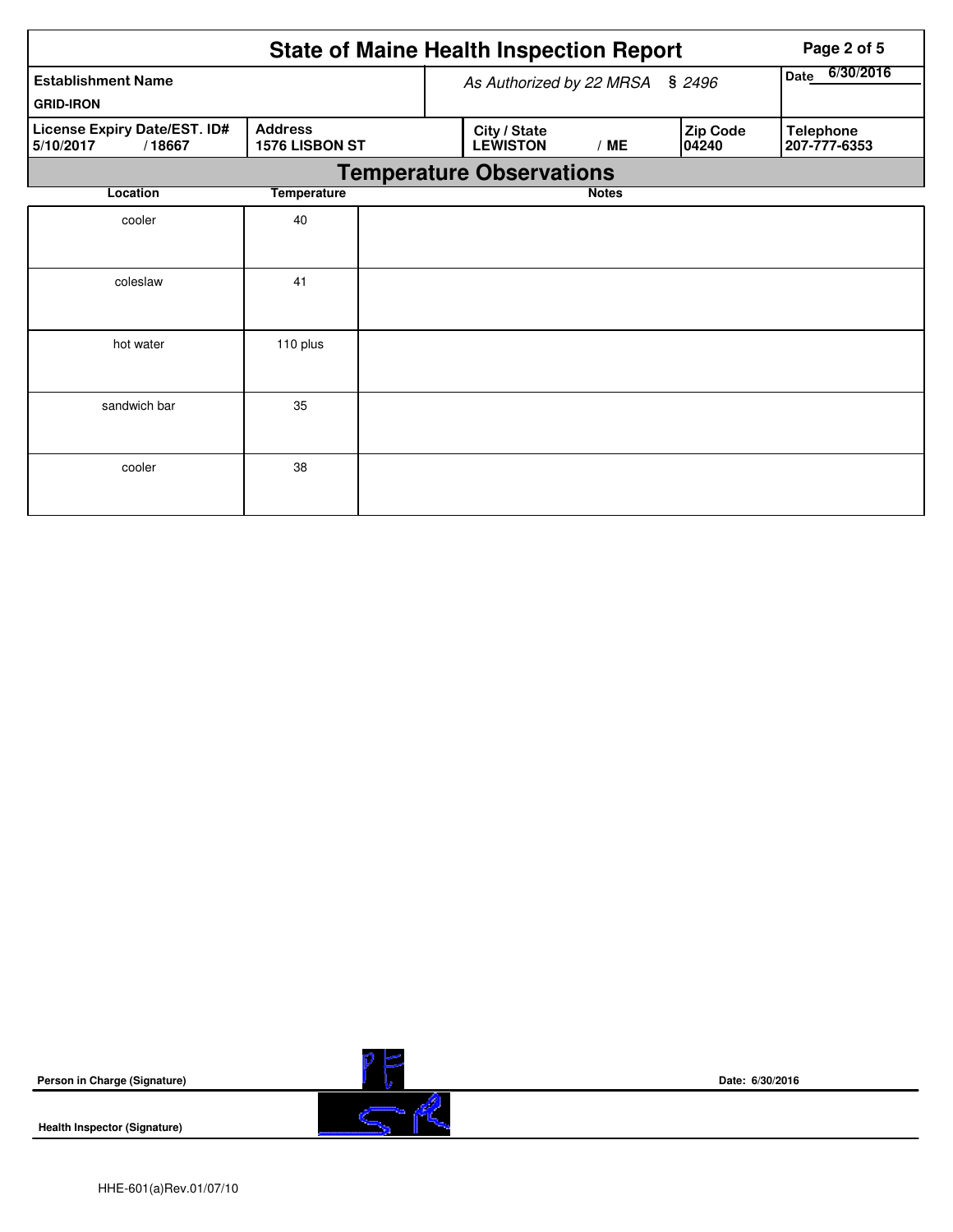|                                                     |                                  | <b>State of Maine Health Inspection Report</b> | Page 2 of 5  |                   |                                  |
|-----------------------------------------------------|----------------------------------|------------------------------------------------|--------------|-------------------|----------------------------------|
| <b>Establishment Name</b>                           | As Authorized by 22 MRSA § 2496  | 6/30/2016<br>Date                              |              |                   |                                  |
| <b>GRID-IRON</b>                                    |                                  |                                                |              |                   |                                  |
| License Expiry Date/EST. ID#<br>/18667<br>5/10/2017 | <b>Address</b><br>1576 LISBON ST | City / State<br><b>LEWISTON</b>                | /ME          | Zip Code<br>04240 | <b>Telephone</b><br>207-777-6353 |
|                                                     |                                  | <b>Temperature Observations</b>                |              |                   |                                  |
| Location                                            | <b>Temperature</b>               |                                                | <b>Notes</b> |                   |                                  |
| cooler                                              | 40                               |                                                |              |                   |                                  |
|                                                     |                                  |                                                |              |                   |                                  |
| coleslaw                                            | 41                               |                                                |              |                   |                                  |
|                                                     |                                  |                                                |              |                   |                                  |
| hot water                                           | 110 plus                         |                                                |              |                   |                                  |
|                                                     |                                  |                                                |              |                   |                                  |
| sandwich bar                                        | 35                               |                                                |              |                   |                                  |
|                                                     |                                  |                                                |              |                   |                                  |
| cooler                                              | 38                               |                                                |              |                   |                                  |
|                                                     |                                  |                                                |              |                   |                                  |

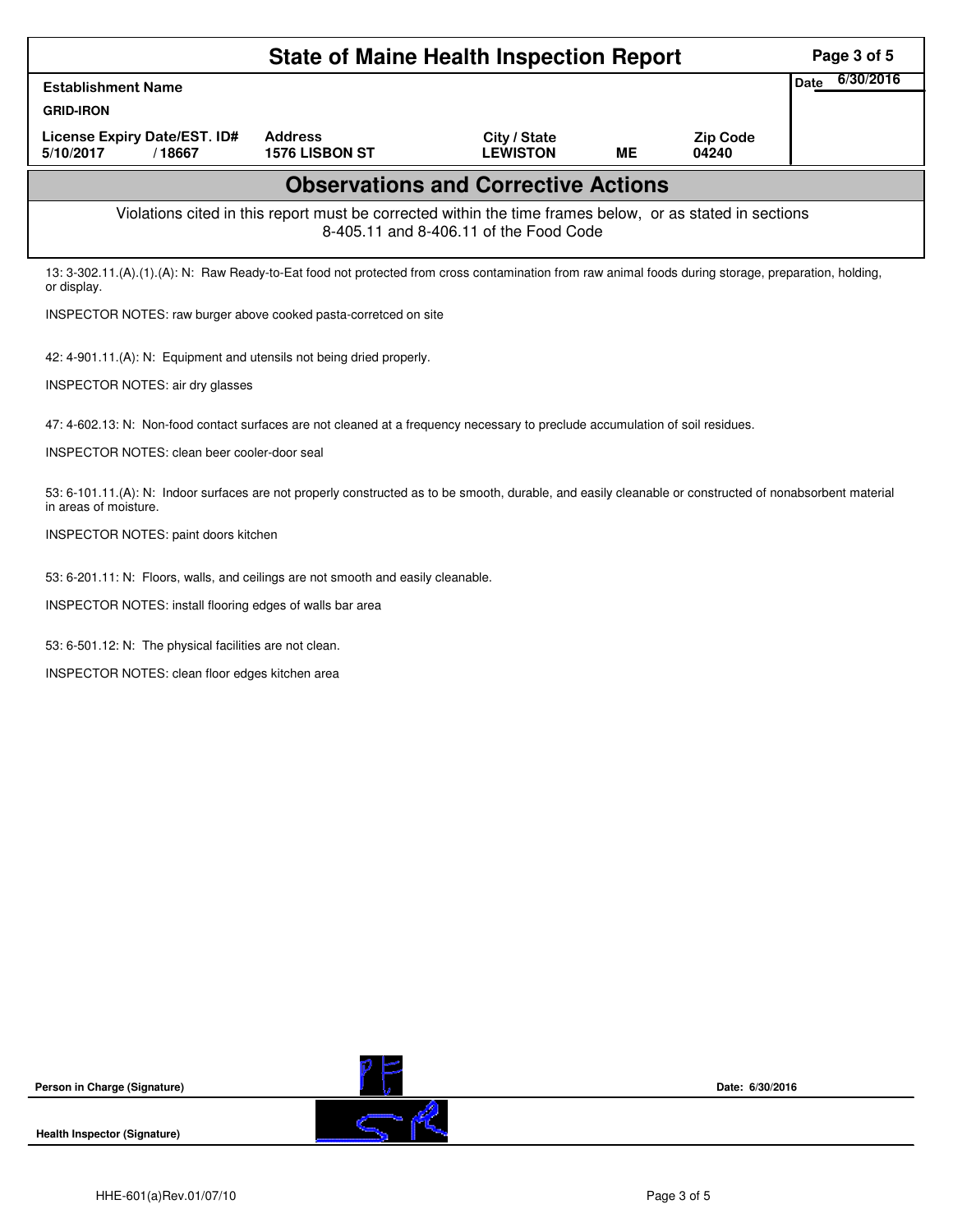|                                                                                                                                                                                   |                                  | <b>State of Maine Health Inspection Report</b>                                                                                                     |           |                          | Page 3 of 5              |
|-----------------------------------------------------------------------------------------------------------------------------------------------------------------------------------|----------------------------------|----------------------------------------------------------------------------------------------------------------------------------------------------|-----------|--------------------------|--------------------------|
| <b>Establishment Name</b>                                                                                                                                                         |                                  |                                                                                                                                                    |           |                          | 6/30/2016<br><b>Date</b> |
| <b>GRID-IRON</b>                                                                                                                                                                  |                                  |                                                                                                                                                    |           |                          |                          |
| License Expiry Date/EST. ID#<br>5/10/2017<br>/18667                                                                                                                               | <b>Address</b><br>1576 LISBON ST | City / State<br><b>LEWISTON</b>                                                                                                                    | <b>ME</b> | <b>Zip Code</b><br>04240 |                          |
|                                                                                                                                                                                   |                                  | <b>Observations and Corrective Actions</b>                                                                                                         |           |                          |                          |
|                                                                                                                                                                                   |                                  | Violations cited in this report must be corrected within the time frames below, or as stated in sections<br>8-405.11 and 8-406.11 of the Food Code |           |                          |                          |
| 13: 3-302.11.(A).(1).(A): N: Raw Ready-to-Eat food not protected from cross contamination from raw animal foods during storage, preparation, holding,<br>or display.              |                                  |                                                                                                                                                    |           |                          |                          |
| INSPECTOR NOTES: raw burger above cooked pasta-corretced on site                                                                                                                  |                                  |                                                                                                                                                    |           |                          |                          |
| 42: 4-901.11.(A): N: Equipment and utensils not being dried properly.                                                                                                             |                                  |                                                                                                                                                    |           |                          |                          |
| INSPECTOR NOTES: air dry glasses                                                                                                                                                  |                                  |                                                                                                                                                    |           |                          |                          |
| 47: 4-602.13: N: Non-food contact surfaces are not cleaned at a frequency necessary to preclude accumulation of soil residues.                                                    |                                  |                                                                                                                                                    |           |                          |                          |
| INSPECTOR NOTES: clean beer cooler-door seal                                                                                                                                      |                                  |                                                                                                                                                    |           |                          |                          |
| 53: 6-101.11.(A): N: Indoor surfaces are not properly constructed as to be smooth, durable, and easily cleanable or constructed of nonabsorbent material<br>in areas of moisture. |                                  |                                                                                                                                                    |           |                          |                          |
| INSPECTOR NOTES: paint doors kitchen                                                                                                                                              |                                  |                                                                                                                                                    |           |                          |                          |
| 53: 6-201.11: N: Floors, walls, and ceilings are not smooth and easily cleanable.                                                                                                 |                                  |                                                                                                                                                    |           |                          |                          |
| INSPECTOR NOTES: install flooring edges of walls bar area                                                                                                                         |                                  |                                                                                                                                                    |           |                          |                          |
| 53: 6-501.12: N: The physical facilities are not clean.                                                                                                                           |                                  |                                                                                                                                                    |           |                          |                          |
| INSPECTOR NOTES: clean floor edges kitchen area                                                                                                                                   |                                  |                                                                                                                                                    |           |                          |                          |
|                                                                                                                                                                                   |                                  |                                                                                                                                                    |           |                          |                          |
|                                                                                                                                                                                   |                                  |                                                                                                                                                    |           |                          |                          |
|                                                                                                                                                                                   |                                  |                                                                                                                                                    |           |                          |                          |
|                                                                                                                                                                                   |                                  |                                                                                                                                                    |           |                          |                          |
|                                                                                                                                                                                   |                                  |                                                                                                                                                    |           |                          |                          |
|                                                                                                                                                                                   |                                  |                                                                                                                                                    |           |                          |                          |
|                                                                                                                                                                                   |                                  |                                                                                                                                                    |           |                          |                          |
|                                                                                                                                                                                   |                                  |                                                                                                                                                    |           |                          |                          |
|                                                                                                                                                                                   |                                  |                                                                                                                                                    |           |                          |                          |

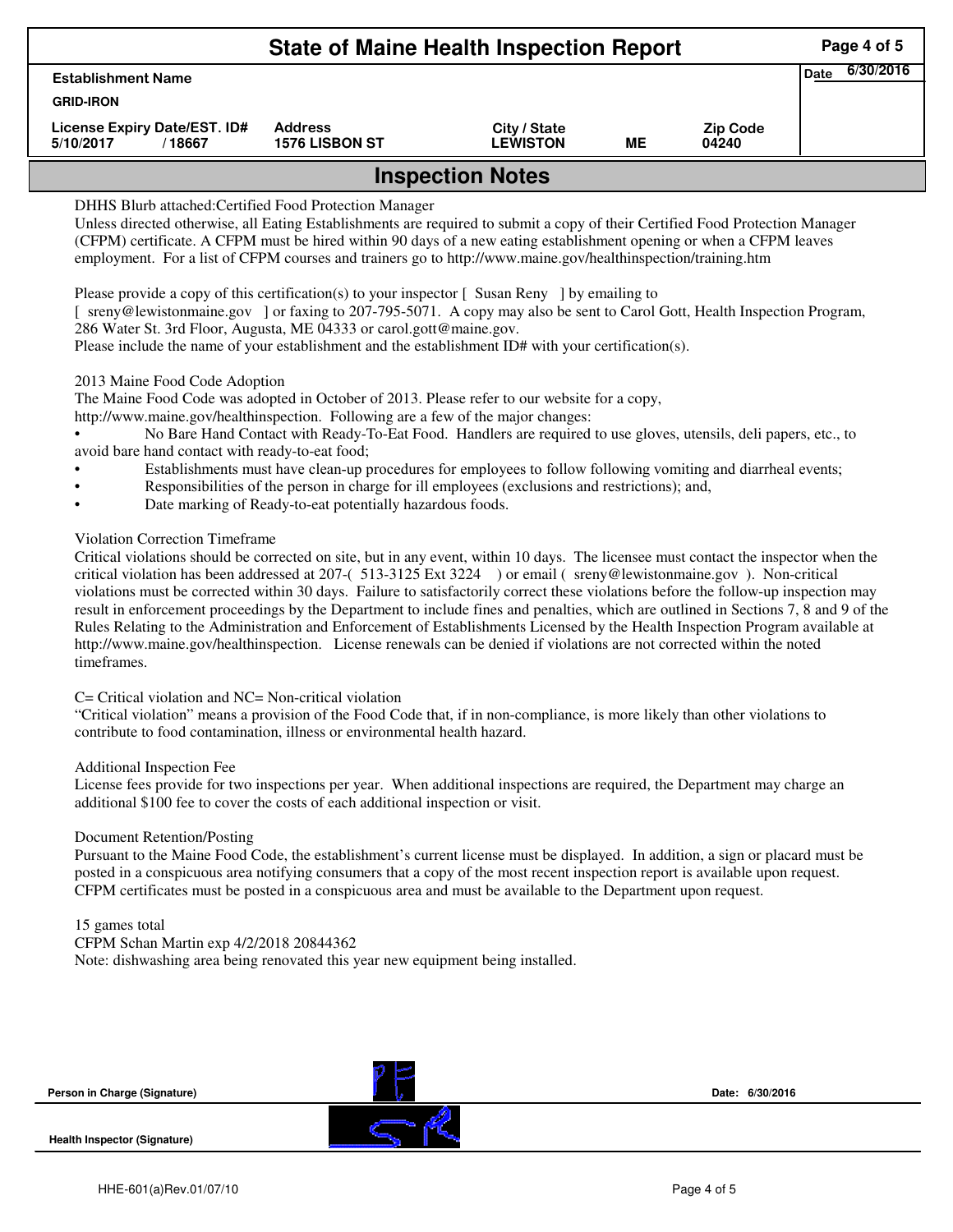|                                                     | Page 4 of 5                             |                                 |    |                          |  |  |  |  |
|-----------------------------------------------------|-----------------------------------------|---------------------------------|----|--------------------------|--|--|--|--|
| <b>Establishment Name</b>                           | 6/30/2016<br><b>Date</b>                |                                 |    |                          |  |  |  |  |
| <b>GRID-IRON</b>                                    |                                         |                                 |    |                          |  |  |  |  |
| License Expiry Date/EST. ID#<br>5/10/2017<br>/18667 | <b>Address</b><br><b>1576 LISBON ST</b> | City / State<br><b>LEWISTON</b> | MЕ | <b>Zip Code</b><br>04240 |  |  |  |  |
| <b>Inspection Notes</b>                             |                                         |                                 |    |                          |  |  |  |  |

# DHHS Blurb attached:Certified Food Protection Manager

Unless directed otherwise, all Eating Establishments are required to submit a copy of their Certified Food Protection Manager (CFPM) certificate. A CFPM must be hired within 90 days of a new eating establishment opening or when a CFPM leaves employment. For a list of CFPM courses and trainers go to http://www.maine.gov/healthinspection/training.htm

Please provide a copy of this certification(s) to your inspector  $\lceil$  Susan Reny  $\rceil$  by emailing to

[ sreny@lewistonmaine.gov ] or faxing to 207-795-5071. A copy may also be sent to Carol Gott, Health Inspection Program, 286 Water St. 3rd Floor, Augusta, ME 04333 or carol.gott@maine.gov.

Please include the name of your establishment and the establishment ID# with your certification(s).

#### 2013 Maine Food Code Adoption

The Maine Food Code was adopted in October of 2013. Please refer to our website for a copy,

http://www.maine.gov/healthinspection. Following are a few of the major changes:

• No Bare Hand Contact with Ready-To-Eat Food. Handlers are required to use gloves, utensils, deli papers, etc., to avoid bare hand contact with ready-to-eat food;

- Establishments must have clean-up procedures for employees to follow following vomiting and diarrheal events;
	- Responsibilities of the person in charge for ill employees (exclusions and restrictions); and,
- Date marking of Ready-to-eat potentially hazardous foods.

### Violation Correction Timeframe

Critical violations should be corrected on site, but in any event, within 10 days. The licensee must contact the inspector when the critical violation has been addressed at 207-( 513-3125 Ext 3224 ) or email ( sreny@lewistonmaine.gov ). Non-critical violations must be corrected within 30 days. Failure to satisfactorily correct these violations before the follow-up inspection may result in enforcement proceedings by the Department to include fines and penalties, which are outlined in Sections 7, 8 and 9 of the Rules Relating to the Administration and Enforcement of Establishments Licensed by the Health Inspection Program available at http://www.maine.gov/healthinspection. License renewals can be denied if violations are not corrected within the noted timeframes.

## C= Critical violation and NC= Non-critical violation

"Critical violation" means a provision of the Food Code that, if in non-compliance, is more likely than other violations to contribute to food contamination, illness or environmental health hazard.

#### Additional Inspection Fee

License fees provide for two inspections per year. When additional inspections are required, the Department may charge an additional \$100 fee to cover the costs of each additional inspection or visit.

#### Document Retention/Posting

Pursuant to the Maine Food Code, the establishment's current license must be displayed. In addition, a sign or placard must be posted in a conspicuous area notifying consumers that a copy of the most recent inspection report is available upon request. CFPM certificates must be posted in a conspicuous area and must be available to the Department upon request.

## 15 games total

CFPM Schan Martin exp 4/2/2018 20844362

Note: dishwashing area being renovated this year new equipment being installed.